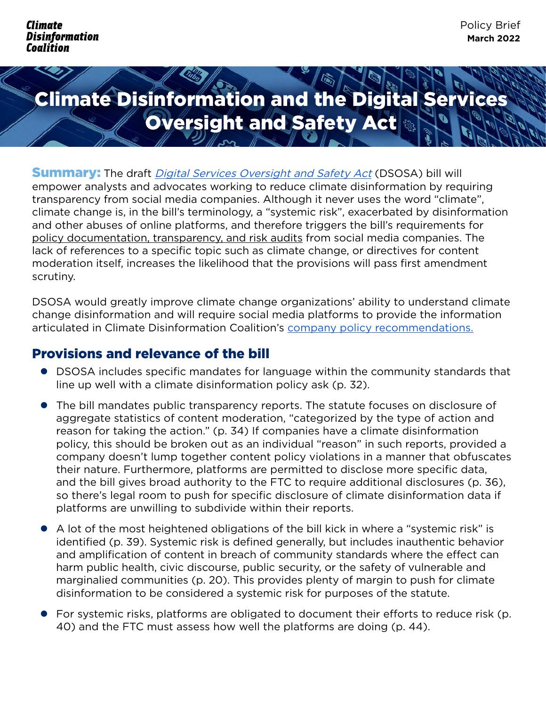## Climate Disinformation and the Digital Services **Oversight and Safety Act &**

**Summary:** The draft *[Digital Services Oversight and Safety Act](http://Digital Services Oversight and Safety Act)* (DSOSA) bill will empower analysts and advocates working to reduce climate disinformation by requiring transparency from social media companies. Although it never uses the word "climate", climate change is, in the bill's terminology, a "systemic risk", exacerbated by disinformation and other abuses of online platforms, and therefore triggers the bill's requirements for policy documentation, transparency, and risk audits from social media companies. The lack of references to a specific topic such as climate change, or directives for content moderation itself, increases the likelihood that the provisions will pass first amendment scrutiny.

DSOSA would greatly improve climate change organizations' ability to understand climate change disinformation and will require social media platforms to provide the information articulated in Climate Disinformation Coalition's [company policy recommendations.](http://company policy recommendations.)

## Provisions and relevance of the bill

- DSOSA includes specific mandates for language within the community standards that line up well with a climate disinformation policy ask (p. 32).
- The bill mandates public transparency reports. The statute focuses on disclosure of aggregate statistics of content moderation, "categorized by the type of action and reason for taking the action." (p. 34) If companies have a climate disinformation policy, this should be broken out as an individual "reason" in such reports, provided a company doesn't lump together content policy violations in a manner that obfuscates their nature. Furthermore, platforms are permitted to disclose more specific data, and the bill gives broad authority to the FTC to require additional disclosures (p. 36), so there's legal room to push for specific disclosure of climate disinformation data if platforms are unwilling to subdivide within their reports.
- A lot of the most heightened obligations of the bill kick in where a "systemic risk" is identified (p. 39). Systemic risk is defined generally, but includes inauthentic behavior and amplification of content in breach of community standards where the effect can harm public health, civic discourse, public security, or the safety of vulnerable and marginalied communities (p. 20). This provides plenty of margin to push for climate disinformation to be considered a systemic risk for purposes of the statute.
- For systemic risks, platforms are obligated to document their efforts to reduce risk (p. 40) and the FTC must assess how well the platforms are doing (p. 44).